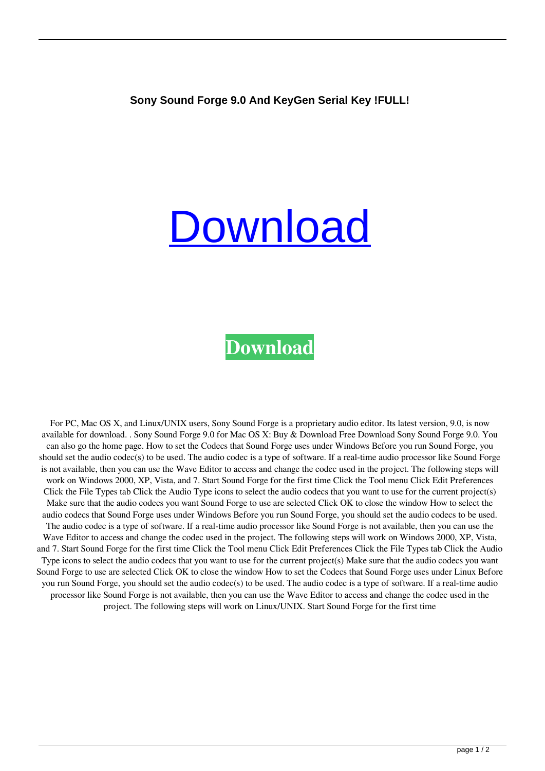## **[Download](https://urlin.us/2l03p8)**

## **[Download](https://urlin.us/2l03p8)**

For PC, Mac OS X, and Linux/UNIX users, Sony Sound Forge is a proprietary audio editor. Its latest version, 9.0, is now available for download. . Sony Sound Forge 9.0 for Mac OS X: Buy & Download Free Download Sony Sound Forge 9.0. You can also go the home page. How to set the Codecs that Sound Forge uses under Windows Before you run Sound Forge, you should set the audio codec(s) to be used. The audio codec is a type of software. If a real-time audio processor like Sound Forge is not available, then you can use the Wave Editor to access and change the codec used in the project. The following steps will work on Windows 2000, XP, Vista, and 7. Start Sound Forge for the first time Click the Tool menu Click Edit Preferences Click the File Types tab Click the Audio Type icons to select the audio codecs that you want to use for the current project(s) Make sure that the audio codecs you want Sound Forge to use are selected Click OK to close the window How to select the audio codecs that Sound Forge uses under Windows Before you run Sound Forge, you should set the audio codecs to be used. The audio codec is a type of software. If a real-time audio processor like Sound Forge is not available, then you can use the Wave Editor to access and change the codec used in the project. The following steps will work on Windows 2000, XP, Vista, and 7. Start Sound Forge for the first time Click the Tool menu Click Edit Preferences Click the File Types tab Click the Audio Type icons to select the audio codecs that you want to use for the current project(s) Make sure that the audio codecs you want Sound Forge to use are selected Click OK to close the window How to set the Codecs that Sound Forge uses under Linux Before you run Sound Forge, you should set the audio codec(s) to be used. The audio codec is a type of software. If a real-time audio processor like Sound Forge is not available, then you can use the Wave Editor to access and change the codec used in the project. The following steps will work on Linux/UNIX. Start Sound Forge for the first time